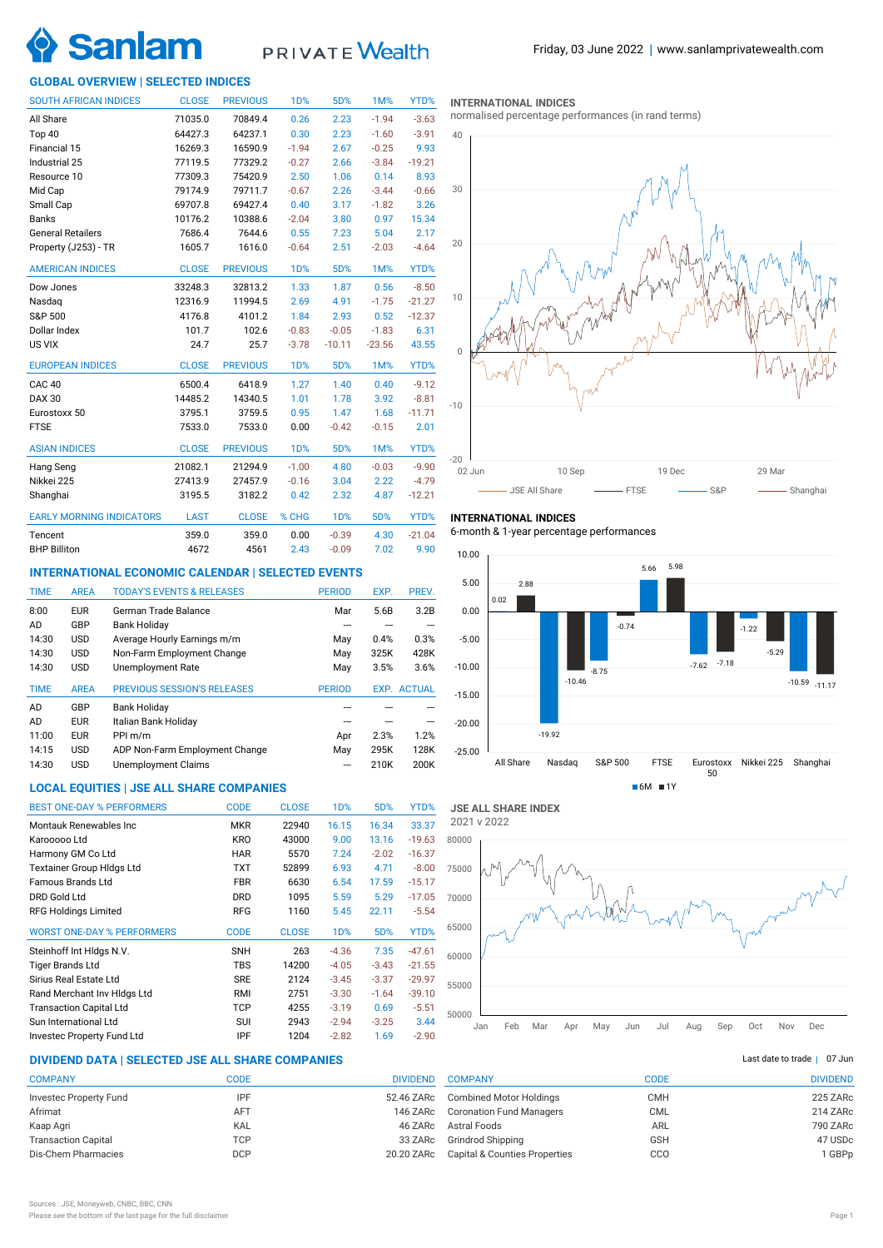

# PRIVATE Wealth

# **GLOBAL OVERVIEW | SELECTED INDICES**

| <b>SOUTH AFRICAN INDICES</b>    | <b>CLOSE</b> | <b>PREVIOUS</b> | 1D%        | 5D%        | 1M%      | YTD%     |
|---------------------------------|--------------|-----------------|------------|------------|----------|----------|
| All Share                       | 71035.0      | 70849.4         | 0.26       | 2.23       | $-1.94$  | $-3.63$  |
| Top 40                          | 64427.3      | 64237.1         | 0.30       | 2.23       | $-1.60$  | $-3.91$  |
| Financial 15                    | 16269.3      | 16590.9         | $-1.94$    | 2.67       | $-0.25$  | 9.93     |
| Industrial 25                   | 77119.5      | 77329.2         | $-0.27$    | 2.66       | $-3.84$  | $-19.21$ |
| Resource 10                     | 77309.3      | 75420.9         | 2.50       | 1.06       | 0.14     | 8.93     |
| Mid Cap                         | 79174.9      | 79711.7         | $-0.67$    | 2.26       | $-3.44$  | $-0.66$  |
| Small Cap                       | 69707.8      | 69427.4         | 0.40       | 3.17       | $-1.82$  | 3.26     |
| <b>Banks</b>                    | 10176.2      | 10388.6         | $-2.04$    | 3.80       | 0.97     | 15.34    |
| <b>General Retailers</b>        | 7686.4       | 7644.6          | 0.55       | 7.23       | 5.04     | 2.17     |
| Property (J253) - TR            | 1605.7       | 1616.0          | $-0.64$    | 2.51       | $-2.03$  | $-4.64$  |
| <b>AMERICAN INDICES</b>         | <b>CLOSE</b> | <b>PREVIOUS</b> | 1D%        | 5D%        | 1M%      | YTD%     |
| Dow Jones                       | 33248.3      | 32813.2         | 1.33       | 1.87       | 0.56     | $-8.50$  |
| Nasdag                          | 12316.9      | 11994.5         | 2.69       | 4.91       | $-1.75$  | $-21.27$ |
| S&P 500                         | 4176.8       | 4101.2          | 1.84       | 2.93       | 0.52     | $-12.37$ |
| Dollar Index                    | 101.7        | 102.6           | $-0.83$    | $-0.05$    | $-1.83$  | 6.31     |
| US VIX                          | 24.7         | 25.7            | $-3.78$    | $-10.11$   | $-23.56$ | 43.55    |
| <b>EUROPEAN INDICES</b>         | <b>CLOSE</b> | <b>PREVIOUS</b> | <b>1D%</b> | 5D%        | 1M%      | YTD%     |
| CAC <sub>40</sub>               | 6500.4       | 6418.9          | 1.27       | 1.40       | 0.40     | $-9.12$  |
| <b>DAX 30</b>                   | 14485.2      | 14340.5         | 1.01       | 1.78       | 3.92     | $-8.81$  |
| Eurostoxx 50                    | 3795.1       | 3759.5          | 0.95       | 1.47       | 1.68     | $-11.71$ |
| <b>FTSE</b>                     | 7533.0       | 7533.0          | 0.00       | $-0.42$    | $-0.15$  | 2.01     |
| <b>ASIAN INDICES</b>            | <b>CLOSE</b> | <b>PREVIOUS</b> | 1D%        | 5D%        | 1M%      | YTD%     |
| Hang Seng                       | 21082.1      | 21294.9         | $-1.00$    | 4.80       | $-0.03$  | $-9.90$  |
| Nikkei 225                      | 27413.9      | 27457.9         | $-0.16$    | 3.04       | 2.22     | $-4.79$  |
| Shanghai                        | 3195.5       | 3182.2          | 0.42       | 2.32       | 4.87     | $-12.21$ |
| <b>EARLY MORNING INDICATORS</b> | <b>LAST</b>  | <b>CLOSE</b>    | % CHG      | <b>1D%</b> | 5D%      | YTD%     |
| Tencent                         | 359.0        | 359.0           | 0.00       | $-0.39$    | 4.30     | $-21.04$ |
| <b>BHP Billiton</b>             | 4672         | 4561            | 2.43       | $-0.09$    | 7.02     | 9.90     |

# **INTERNATIONAL ECONOMIC CALENDAR | SELECTED EVENTS**

| <b>TIME</b> | <b>AREA</b> | <b>TODAY'S EVENTS &amp; RELEASES</b> | <b>PERIOD</b> | EXP. | PREV.              |
|-------------|-------------|--------------------------------------|---------------|------|--------------------|
| 8:00        | <b>EUR</b>  | German Trade Balance                 | Mar           | 5.6B | 3.2B               |
| AD          | GBP         | <b>Bank Holiday</b>                  |               |      |                    |
| 14:30       | <b>USD</b>  | Average Hourly Earnings m/m          | May           | 0.4% | 0.3%               |
| 14:30       | <b>USD</b>  | Non-Farm Employment Change           | May           | 325K | 428K               |
| 14:30       | <b>USD</b>  | Unemployment Rate                    | May           | 3.5% | 3.6%               |
|             |             |                                      |               |      |                    |
| <b>TIME</b> | <b>AREA</b> | PREVIOUS SESSION'S RELEASES          | <b>PERIOD</b> |      | <b>EXP. ACTUAL</b> |
| AD          | GBP         | <b>Bank Holiday</b>                  |               |      |                    |
| AD          | <b>EUR</b>  | Italian Bank Holiday                 |               |      |                    |
| 11:00       | <b>EUR</b>  | PPI m/m                              | Apr           | 2.3% | 1.2%               |
| 14:15       | <b>USD</b>  | ADP Non-Farm Employment Change       | May           | 295K | 128K               |
| 14:30       | <b>USD</b>  | Unemployment Claims                  | ---           | 210K | 200K               |

# **LOCAL EQUITIES | JSE ALL SHARE COMPANIES**

| <b>BEST ONE-DAY % PERFORMERS</b>  | <b>CODE</b> | <b>CLOSE</b> | 1 <sub>D</sub> % | 5D%     | YTD%     |
|-----------------------------------|-------------|--------------|------------------|---------|----------|
| Montauk Renewables Inc            | MKR         | 22940        | 16.15            | 16.34   | 33.37    |
| Karooooo Ltd                      | <b>KRO</b>  | 43000        | 9.00             | 13.16   | $-19.63$ |
| Harmony GM Co Ltd                 | <b>HAR</b>  | 5570         | 7.24             | $-2.02$ | $-16.37$ |
| <b>Textainer Group Hidgs Ltd</b>  | TXT         | 52899        | 6.93             | 4.71    | $-8.00$  |
| <b>Famous Brands Ltd</b>          | <b>FBR</b>  | 6630         | 6.54             | 17.59   | $-15.17$ |
| DRD Gold Ltd                      | <b>DRD</b>  | 1095         | 5.59             | 5.29    | $-17.05$ |
| <b>RFG Holdings Limited</b>       | <b>RFG</b>  | 1160         | 5.45             | 22.11   | $-5.54$  |
| <b>WORST ONE-DAY % PERFORMERS</b> | <b>CODE</b> | <b>CLOSE</b> | 1 <sub>D</sub> % | 5D%     | YTD%     |
| Steinhoff Int HIdgs N.V.          | <b>SNH</b>  | 263          | $-4.36$          | 7.35    | $-47.61$ |
| <b>Tiger Brands Ltd</b>           | TBS         | 14200        | $-4.05$          | $-3.43$ | $-21.55$ |
| Sirius Real Estate Ltd            | <b>SRE</b>  | 2124         | $-3.45$          | $-3.37$ | $-29.97$ |
| Rand Merchant Inv Hidgs Ltd       | RMI         | 2751         | $-3.30$          | $-1.64$ | $-39.10$ |
| <b>Transaction Capital Ltd</b>    | <b>TCP</b>  | 4255         | $-3.19$          | 0.69    | $-5.51$  |
| Sun International Ltd             | <b>SUI</b>  | 2943         | $-2.94$          | $-3.25$ | 3.44     |
| Investec Property Fund Ltd        | IPF         | 1204         | $-2.82$          | 1.69    | $-2.90$  |

# **DIVIDEND DATA | SELECTED JSE ALL SHARE COMPANIES |**

| <b>COMPANY</b>                | CODE       | <b>DIVIDEND</b> |
|-------------------------------|------------|-----------------|
| <b>Investec Property Fund</b> | IPF        | 52.46 ZARc      |
| Afrimat                       | <b>AFT</b> | 146 ZARc        |
| Kaap Agri                     | <b>KAL</b> | 46 ZARc         |
| <b>Transaction Capital</b>    | <b>TCP</b> | 33 ZARc         |
| Dis-Chem Pharmacies           | <b>DCP</b> | 20.20 ZARc      |
|                               |            |                 |

### **INTERNATIONAL INDICES**

normalised percentage performances (in rand terms)



## **INTERNATIONAL INDICES**

6-month & 1-year percentage performances



**JSE ALL SHARE INDEX** 2021 v 2022



# Last date to trade  $|$  07 Jun

| <b>COMPANY</b>                  | CODE       | <b>DIVIDEND</b> |
|---------------------------------|------------|-----------------|
| <b>Combined Motor Holdings</b>  | <b>CMH</b> | 225 ZARc        |
| <b>Coronation Fund Managers</b> | CML        | 214 ZARc        |
| Astral Foods                    | ARL        | 790 ZARc        |
| Grindrod Shipping               | <b>GSH</b> | 47 USDc         |
| Capital & Counties Properties   | CCO        | 1 GBPp          |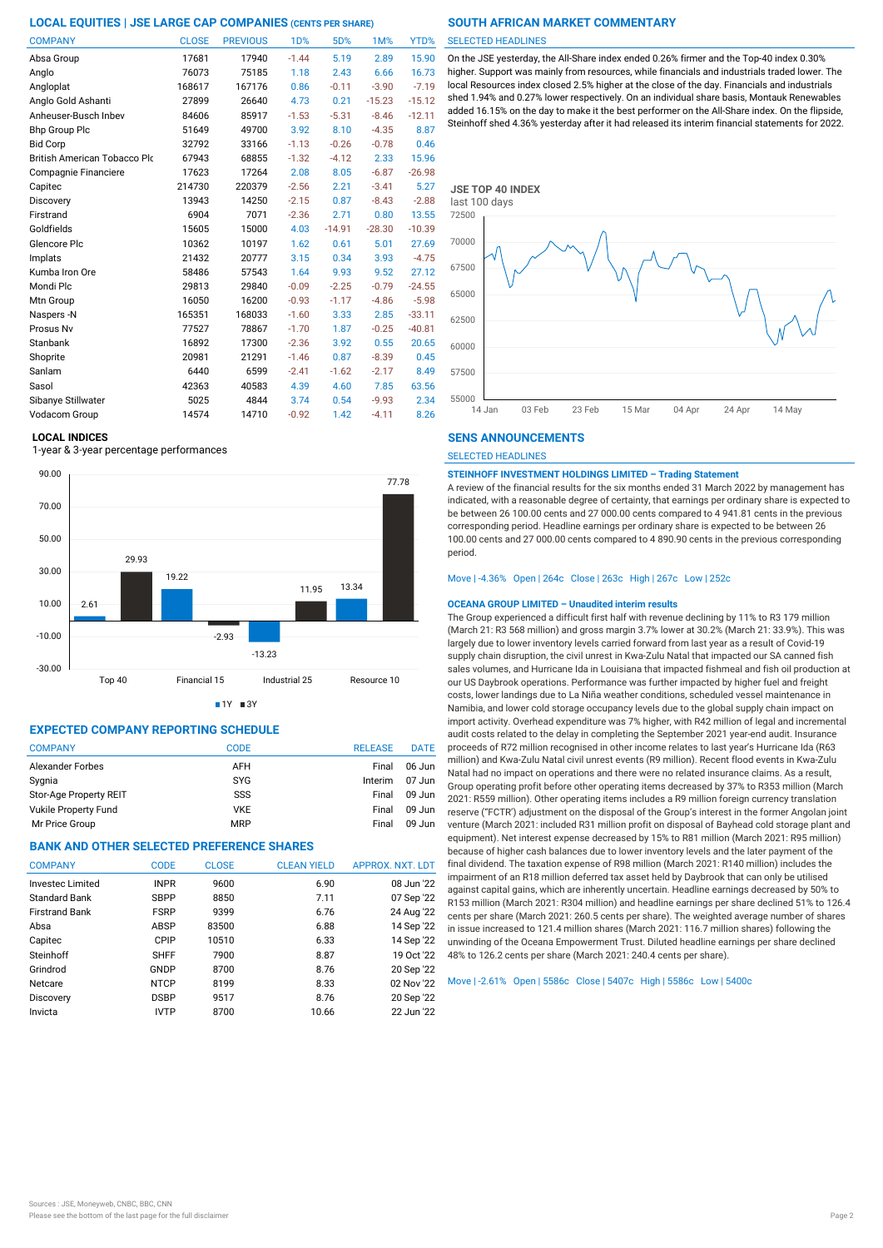| <b>COMPANY</b>               | <b>CLOSE</b> | <b>PREVIOUS</b> | <b>1D%</b> | 5D%      | 1M%      | YTD%     |
|------------------------------|--------------|-----------------|------------|----------|----------|----------|
| Absa Group                   | 17681        | 17940           | $-1.44$    | 5.19     | 2.89     | 15.90    |
| Anglo                        | 76073        | 75185           | 1.18       | 2.43     | 6.66     | 16.73    |
| Angloplat                    | 168617       | 167176          | 0.86       | $-0.11$  | $-3.90$  | $-7.19$  |
| Anglo Gold Ashanti           | 27899        | 26640           | 4.73       | 0.21     | $-15.23$ | $-15.12$ |
| Anheuser-Busch Inbev         | 84606        | 85917           | $-1.53$    | $-5.31$  | $-8.46$  | $-12.11$ |
| <b>Bhp Group Plc</b>         | 51649        | 49700           | 3.92       | 8.10     | $-4.35$  | 8.87     |
| <b>Bid Corp</b>              | 32792        | 33166           | $-1.13$    | $-0.26$  | $-0.78$  | 0.46     |
| British American Tobacco Plo | 67943        | 68855           | $-1.32$    | $-4.12$  | 2.33     | 15.96    |
| Compagnie Financiere         | 17623        | 17264           | 2.08       | 8.05     | $-6.87$  | $-26.98$ |
| Capitec                      | 214730       | 220379          | $-2.56$    | 2.21     | $-3.41$  | 5.27     |
| Discovery                    | 13943        | 14250           | $-2.15$    | 0.87     | $-8.43$  | $-2.88$  |
| Firstrand                    | 6904         | 7071            | $-2.36$    | 2.71     | 0.80     | 13.55    |
| Goldfields                   | 15605        | 15000           | 4.03       | $-14.91$ | $-28.30$ | $-10.39$ |
| Glencore Plc                 | 10362        | 10197           | 1.62       | 0.61     | 5.01     | 27.69    |
| Implats                      | 21432        | 20777           | 3.15       | 0.34     | 3.93     | $-4.75$  |
| Kumba Iron Ore               | 58486        | 57543           | 1.64       | 9.93     | 9.52     | 27.12    |
| Mondi Plc                    | 29813        | 29840           | $-0.09$    | $-2.25$  | $-0.79$  | $-24.55$ |
| Mtn Group                    | 16050        | 16200           | $-0.93$    | $-1.17$  | $-4.86$  | $-5.98$  |
| Naspers -N                   | 165351       | 168033          | $-1.60$    | 3.33     | 2.85     | $-33.11$ |
| Prosus Nv                    | 77527        | 78867           | $-1.70$    | 1.87     | $-0.25$  | $-40.81$ |
| Stanbank                     | 16892        | 17300           | $-2.36$    | 3.92     | 0.55     | 20.65    |
| Shoprite                     | 20981        | 21291           | $-1.46$    | 0.87     | $-8.39$  | 0.45     |
| Sanlam                       | 6440         | 6599            | $-2.41$    | $-1.62$  | $-2.17$  | 8.49     |
| Sasol                        | 42363        | 40583           | 4.39       | 4.60     | 7.85     | 63.56    |
| Sibanye Stillwater           | 5025         | 4844            | 3.74       | 0.54     | $-9.93$  | 2.34     |
| Vodacom Group                | 14574        | 14710           | $-0.92$    | 1.42     | $-4.11$  | 8.26     |

### **LOCAL INDICES**

1-year & 3-year percentage performances





# **EXPECTED COMPANY REPORTING SCHEDULE**

| <b>COMPANY</b>         | CODE       | <b>RELEASE</b> | <b>DATE</b> |
|------------------------|------------|----------------|-------------|
| Alexander Forbes       | AFH        | Final          | $06$ Jun    |
| Sygnia                 | <b>SYG</b> | Interim        | $07$ Jun    |
| Stor-Age Property REIT | SSS        | Final          | $09$ Jun    |
| Vukile Property Fund   | <b>VKE</b> | Final          | 09 Jun      |
| Mr Price Group         | <b>MRP</b> | Final          | 09 Jun      |

# **BANK AND OTHER SELECTED PREFERENCE SHARES**

| <b>COMPANY</b>          | <b>CODE</b> | <b>CLOSE</b> | <b>CLEAN YIELD</b> | APPROX. NXT. LDT |
|-------------------------|-------------|--------------|--------------------|------------------|
| <b>Invested Limited</b> | <b>INPR</b> | 9600         | 6.90               | 08 Jun '22       |
| <b>Standard Bank</b>    | <b>SBPP</b> | 8850         | 7.11               | 07 Sep '22       |
| <b>Firstrand Bank</b>   | <b>FSRP</b> | 9399         | 6.76               | 24 Aug '22       |
| Absa                    | <b>ABSP</b> | 83500        | 6.88               | 14 Sep '22       |
| Capitec                 | CPIP        | 10510        | 6.33               | 14 Sep '22       |
| Steinhoff               | <b>SHFF</b> | 7900         | 8.87               | 19 Oct '22       |
| Grindrod                | GNDP        | 8700         | 8.76               | 20 Sep '22       |
| Netcare                 | <b>NTCP</b> | 8199         | 8.33               | 02 Nov '22       |
| Discovery               | <b>DSBP</b> | 9517         | 8.76               | 20 Sep '22       |
| Invicta                 | <b>IVTP</b> | 8700         | 10.66              | 22 Jun '22       |

#### SELECTED HEADLINES

On the JSE yesterday, the All-Share index ended 0.26% firmer and the Top-40 index 0.30% higher. Support was mainly from resources, while financials and industrials traded lower. The local Resources index closed 2.5% higher at the close of the day. Financials and industrials shed 1.94% and 0.27% lower respectively. On an individual share basis, Montauk Renewables added 16.15% on the day to make it the best performer on the All-Share index. On the flipside, Steinhoff shed 4.36% yesterday after it had released its interim financial statements for 2022.



# **SENS ANNOUNCEMENTS**

SELECTED HEADLINES

### **STEINHOFF INVESTMENT HOLDINGS LIMITED – Trading Statement**

A review of the financial results for the six months ended 31 March 2022 by management has indicated, with a reasonable degree of certainty, that earnings per ordinary share is expected to be between 26 100.00 cents and 27 000.00 cents compared to 4 941.81 cents in the previous corresponding period. Headline earnings per ordinary share is expected to be between 26 100.00 cents and 27 000.00 cents compared to 4 890.90 cents in the previous corresponding period.

# Move | -4.36% Open | 264c Close | 263c High | 267c Low | 252c

# **OCEANA GROUP LIMITED – Unaudited interim results**

The Group experienced a difficult first half with revenue declining by 11% to R3 179 million (March 21: R3 568 million) and gross margin 3.7% lower at 30.2% (March 21: 33.9%). This was largely due to lower inventory levels carried forward from last year as a result of Covid-19 supply chain disruption, the civil unrest in Kwa-Zulu Natal that impacted our SA canned fish sales volumes, and Hurricane Ida in Louisiana that impacted fishmeal and fish oil production at our US Daybrook operations. Performance was further impacted by higher fuel and freight costs, lower landings due to La Niña weather conditions, scheduled vessel maintenance in Namibia, and lower cold storage occupancy levels due to the global supply chain impact on import activity. Overhead expenditure was 7% higher, with R42 million of legal and incremental audit costs related to the delay in completing the September 2021 year-end audit. Insurance proceeds of R72 million recognised in other income relates to last year's Hurricane Ida (R63 million) and Kwa-Zulu Natal civil unrest events (R9 million). Recent flood events in Kwa-Zulu Natal had no impact on operations and there were no related insurance claims. As a result, Group operating profit before other operating items decreased by 37% to R353 million (March 2021: R559 million). Other operating items includes a R9 million foreign currency translation reserve ("FCTR') adjustment on the disposal of the Group's interest in the former Angolan joint venture (March 2021: included R31 million profit on disposal of Bayhead cold storage plant and equipment). Net interest expense decreased by 15% to R81 million (March 2021: R95 million) because of higher cash balances due to lower inventory levels and the later payment of the final dividend. The taxation expense of R98 million (March 2021: R140 million) includes the impairment of an R18 million deferred tax asset held by Daybrook that can only be utilised against capital gains, which are inherently uncertain. Headline earnings decreased by 50% to R153 million (March 2021: R304 million) and headline earnings per share declined 51% to 126.4 cents per share (March 2021: 260.5 cents per share). The weighted average number of shares in issue increased to 121.4 million shares (March 2021: 116.7 million shares) following the unwinding of the Oceana Empowerment Trust. Diluted headline earnings per share declined 48% to 126.2 cents per share (March 2021: 240.4 cents per share).

Move | -2.61% Open | 5586c Close | 5407c High | 5586c Low | 5400c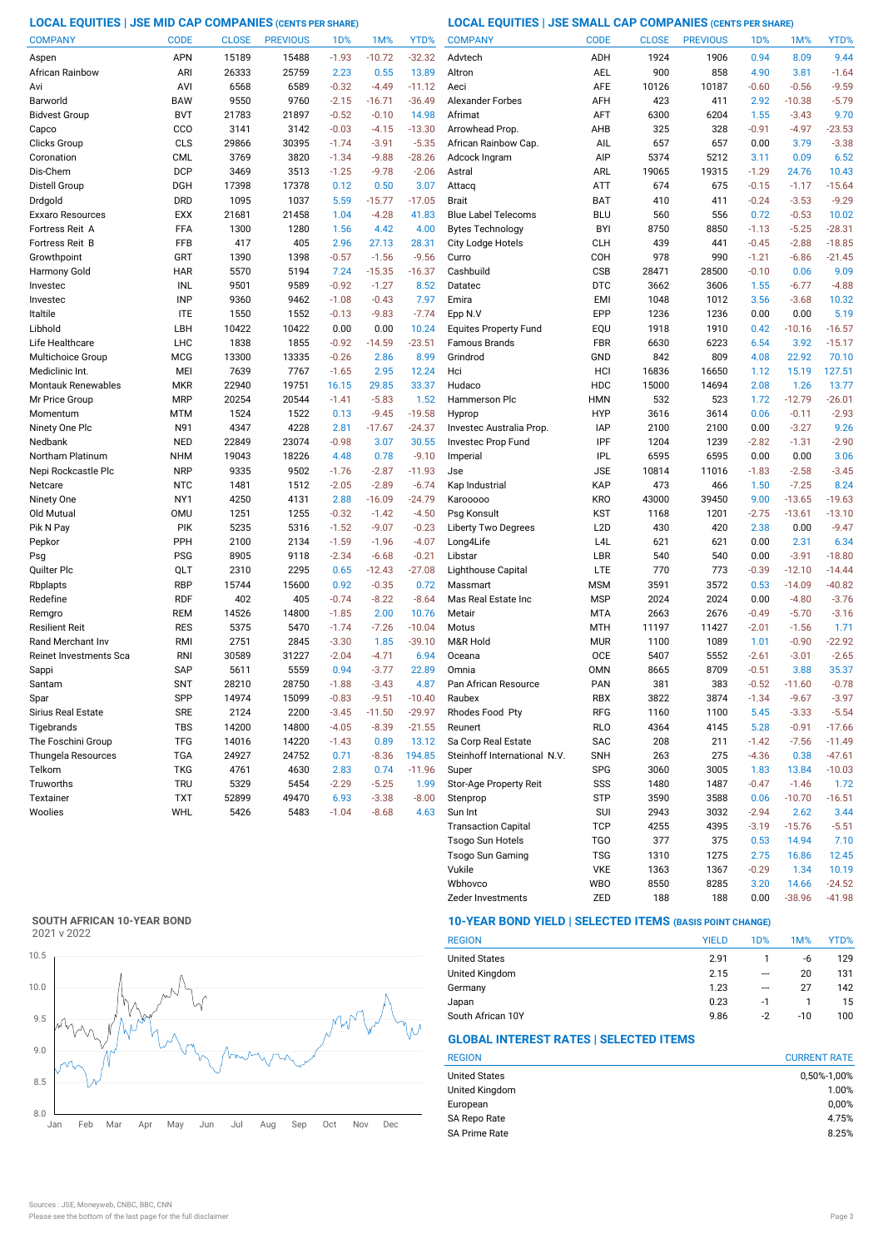**LOCAL EQUITIES | JSE MID CAP COMPANIES (CENTS PER SHARE) LOCAL EQUITIES | JSE SMALL CAP COMPANIES (CENTS PER SHARE)**

| <b>COMPANY</b>            | <b>CODE</b> | <b>CLOSE</b> | <b>PREVIOUS</b> | 1 <sub>D</sub> % | 1M%      | YTD%     | <b>COMPANY</b>               | <b>CODE</b>      | <b>CLOSE</b> | <b>PREVIOUS</b> | 1D%     | 1M%      | YTD%     |
|---------------------------|-------------|--------------|-----------------|------------------|----------|----------|------------------------------|------------------|--------------|-----------------|---------|----------|----------|
| Aspen                     | APN         | 15189        | 15488           | $-1.93$          | $-10.72$ | $-32.32$ | Advtech                      | ADH              | 1924         | 1906            | 0.94    | 8.09     | 9.44     |
| African Rainbow           | ARI         | 26333        | 25759           | 2.23             | 0.55     | 13.89    | Altron                       | AEL              | 900          | 858             | 4.90    | 3.81     | $-1.64$  |
| Avi                       | AVI         | 6568         | 6589            | $-0.32$          | $-4.49$  | $-11.12$ | Aeci                         | <b>AFE</b>       | 10126        | 10187           | $-0.60$ | $-0.56$  | $-9.59$  |
| Barworld                  | <b>BAW</b>  | 9550         | 9760            | $-2.15$          | $-16.71$ | $-36.49$ | <b>Alexander Forbes</b>      | AFH              | 423          | 411             | 2.92    | $-10.38$ | $-5.79$  |
| <b>Bidvest Group</b>      | <b>BVT</b>  | 21783        | 21897           | $-0.52$          | $-0.10$  | 14.98    | Afrimat                      | AFT              | 6300         | 6204            | 1.55    | $-3.43$  | 9.70     |
| Capco                     | CCO         | 3141         | 3142            | $-0.03$          | $-4.15$  | $-13.30$ | Arrowhead Prop               | AHB              | 325          | 328             | $-0.91$ | $-4.97$  | $-23.53$ |
| Clicks Group              | CLS         | 29866        | 30395           | $-1.74$          | $-3.91$  | $-5.35$  | African Rainbow Cap.         | AIL              | 657          | 657             | 0.00    | 3.79     | $-3.38$  |
| Coronation                | <b>CML</b>  | 3769         | 3820            | $-1.34$          | $-9.88$  | $-28.26$ | Adcock Ingram                | AIP              | 5374         | 5212            | 3.11    | 0.09     | 6.52     |
| Dis-Chem                  | <b>DCP</b>  | 3469         | 3513            | $-1.25$          | $-9.78$  | $-2.06$  | Astral                       | ARL              | 19065        | 19315           | $-1.29$ | 24.76    | 10.43    |
| Distell Group             | <b>DGH</b>  | 17398        | 17378           | 0.12             | 0.50     | 3.07     | Attacq                       | <b>ATT</b>       | 674          | 675             | $-0.15$ | $-1.17$  | $-15.64$ |
| Drdgold                   | <b>DRD</b>  | 1095         | 1037            | 5.59             | $-15.77$ | $-17.05$ | <b>Brait</b>                 | BAT              | 410          | 411             | $-0.24$ | $-3.53$  | $-9.29$  |
| Exxaro Resources          | <b>EXX</b>  | 21681        | 21458           | 1.04             | $-4.28$  | 41.83    | <b>Blue Label Telecoms</b>   | <b>BLU</b>       | 560          | 556             | 0.72    | $-0.53$  | 10.02    |
| Fortress Reit A           | FFA         | 1300         | 1280            | 1.56             | 4.42     | 4.00     | <b>Bytes Technology</b>      | <b>BYI</b>       | 8750         | 8850            | $-1.13$ | $-5.25$  | $-28.31$ |
| Fortress Reit B           | FFB         | 417          | 405             | 2.96             | 27.13    | 28.31    | City Lodge Hotels            | <b>CLH</b>       | 439          | 441             | $-0.45$ | $-2.88$  | $-18.85$ |
| Growthpoint               | GRT         | 1390         | 1398            | $-0.57$          | $-1.56$  | $-9.56$  | Curro                        | COH              | 978          | 990             | $-1.21$ | $-6.86$  | $-21.45$ |
| Harmony Gold              | <b>HAR</b>  | 5570         | 5194            | 7.24             | $-15.35$ | $-16.37$ | Cashbuild                    | CSB              | 28471        | 28500           | $-0.10$ | 0.06     | 9.09     |
| Investec                  | INL         | 9501         | 9589            | $-0.92$          | $-1.27$  | 8.52     | Datatec                      | <b>DTC</b>       | 3662         | 3606            | 1.55    | $-6.77$  | $-4.88$  |
| Investec                  | <b>INP</b>  | 9360         | 9462            | $-1.08$          | $-0.43$  | 7.97     | Emira                        | <b>EMI</b>       | 1048         | 1012            | 3.56    | $-3.68$  | 10.32    |
| Italtile                  | <b>ITE</b>  | 1550         | 1552            | $-0.13$          | $-9.83$  | $-7.74$  | Epp N.V                      | EPP              | 1236         | 1236            | 0.00    | 0.00     | 5.19     |
| Libhold                   | LBH         | 10422        | 10422           | 0.00             | 0.00     | 10.24    | <b>Equites Property Fund</b> | EQU              | 1918         | 1910            | 0.42    | $-10.16$ | $-16.57$ |
| Life Healthcare           | <b>LHC</b>  | 1838         | 1855            | $-0.92$          | $-14.59$ | $-23.51$ | <b>Famous Brands</b>         | <b>FBR</b>       | 6630         | 6223            | 6.54    | 3.92     | $-15.17$ |
| Multichoice Group         | <b>MCG</b>  | 13300        | 13335           | $-0.26$          | 2.86     | 8.99     | Grindrod                     | GND              | 842          | 809             | 4.08    | 22.92    | 70.10    |
| Mediclinic Int.           | MEI         | 7639         | 7767            | $-1.65$          | 2.95     | 12.24    | Hci                          | HCI              | 16836        | 16650           | 1.12    | 15.19    | 127.51   |
| <b>Montauk Renewables</b> | <b>MKR</b>  | 22940        | 19751           | 16.15            | 29.85    | 33.37    | Hudaco                       | HDC              | 15000        | 14694           | 2.08    | 1.26     | 13.77    |
| Mr Price Group            | <b>MRP</b>  | 20254        | 20544           | $-1.41$          | $-5.83$  | 1.52     | <b>Hammerson Plc</b>         | <b>HMN</b>       | 532          | 523             | 1.72    | $-12.79$ | $-26.01$ |
| Momentum                  | MTM         | 1524         | 1522            | 0.13             | $-9.45$  | $-19.58$ | Hyprop                       | <b>HYP</b>       | 3616         | 3614            | 0.06    | $-0.11$  | $-2.93$  |
| Ninety One Plc            | N91         | 4347         | 4228            | 2.81             | $-17.67$ | $-24.37$ | Investec Australia Prop.     | IAP              | 2100         | 2100            | 0.00    | $-3.27$  | 9.26     |
| Nedbank                   | <b>NED</b>  | 22849        | 23074           | $-0.98$          | 3.07     | 30.55    | Investec Prop Fund           | IPF              | 1204         | 1239            | $-2.82$ | $-1.31$  | $-2.90$  |
| Northam Platinum          | <b>NHM</b>  | 19043        | 18226           | 4.48             | 0.78     | $-9.10$  | Imperial                     | <b>IPL</b>       | 6595         | 6595            | 0.00    | 0.00     | 3.06     |
| Nepi Rockcastle Plc       | <b>NRP</b>  | 9335         | 9502            | $-1.76$          | $-2.87$  | $-11.93$ | Jse                          | <b>JSE</b>       | 10814        | 11016           | $-1.83$ | $-2.58$  | $-3.45$  |
| Netcare                   | <b>NTC</b>  | 1481         | 1512            | $-2.05$          | $-2.89$  | $-6.74$  | Kap Industrial               | KAP              | 473          | 466             | 1.50    | $-7.25$  | 8.24     |
| Ninety One                | NY1         | 4250         | 4131            | 2.88             | $-16.09$ | $-24.79$ | Karooooo                     | <b>KRO</b>       | 43000        | 39450           | 9.00    | $-13.65$ | $-19.63$ |
| Old Mutual                | <b>OMU</b>  | 1251         | 1255            | $-0.32$          | $-1.42$  | $-4.50$  | Psg Konsult                  | <b>KST</b>       | 1168         | 1201            | $-2.75$ | $-13.61$ | $-13.10$ |
| Pik N Pay                 | PIK         | 5235         | 5316            | $-1.52$          | $-9.07$  | $-0.23$  | <b>Liberty Two Degrees</b>   | L <sub>2</sub> D | 430          | 420             | 2.38    | 0.00     | $-9.47$  |
| Pepkor                    | PPH         | 2100         | 2134            | $-1.59$          | $-1.96$  | $-4.07$  | Long4Life                    | L <sub>4</sub> L | 621          | 621             | 0.00    | 2.31     | 6.34     |
| Psg                       | <b>PSG</b>  | 8905         | 9118            | $-2.34$          | $-6.68$  | $-0.21$  | Libstar                      | LBR              | 540          | 540             | 0.00    | $-3.91$  | $-18.80$ |
| Quilter Plc               | QLT         | 2310         | 2295            | 0.65             | $-12.43$ | $-27.08$ | Lighthouse Capital           | <b>LTE</b>       | 770          | 773             | $-0.39$ | $-12.10$ | $-14.44$ |
| Rbplapts                  | <b>RBP</b>  | 15744        | 15600           | 0.92             | $-0.35$  | 0.72     | Massmart                     | <b>MSM</b>       | 3591         | 3572            | 0.53    | $-14.09$ | $-40.82$ |
| Redefine                  | <b>RDF</b>  | 402          | 405             | $-0.74$          | $-8.22$  | $-8.64$  | Mas Real Estate Inc          | <b>MSP</b>       | 2024         | 2024            | 0.00    | $-4.80$  | $-3.76$  |
| Remgro                    | <b>REM</b>  | 14526        | 14800           | $-1.85$          | 2.00     | 10.76    | Metair                       | <b>MTA</b>       | 2663         | 2676            | $-0.49$ | $-5.70$  | $-3.16$  |
| Resilient Reit            | <b>RES</b>  | 5375         | 5470            | $-1.74$          | $-7.26$  | $-10.04$ | Motus                        | <b>MTH</b>       | 11197        | 11427           | $-2.01$ | $-1.56$  | 1.71     |
| Rand Merchant Inv         | RMI         | 2751         | 2845            | $-3.30$          | 1.85     | $-39.10$ | M&R Hold                     | <b>MUR</b>       | 1100         | 1089            | 1.01    | $-0.90$  | $-22.92$ |
| Reinet Investments Sca    | <b>RNI</b>  | 30589        | 31227           | $-2.04$          | $-4.71$  | 6.94     | Oceana                       | <b>OCE</b>       | 5407         | 5552            | $-2.61$ | $-3.01$  | $-2.65$  |
| Sappi                     | <b>SAP</b>  | 5611         | 5559            | 0.94             | $-3.77$  | 22.89    | Omnia                        | <b>OMN</b>       | 8665         | 8709            | $-0.51$ | 3.88     | 35.37    |
| Santam                    | <b>SNT</b>  | 28210        | 28750           | $-1.88$          | $-3.43$  | 4.87     | Pan African Resource         | <b>PAN</b>       | 381          | 383             | $-0.52$ | $-11.60$ | $-0.78$  |
| Spar                      | SPP         | 14974        | 15099           | $-0.83$          | $-9.51$  | $-10.40$ | Raubex                       | RBX              | 3822         | 3874            | $-1.34$ | $-9.67$  | $-3.97$  |
| Sirius Real Estate        | <b>SRE</b>  | 2124         | 2200            | $-3.45$          | $-11.50$ | $-29.97$ | Rhodes Food Pty              | RFG              | 1160         | 1100            | 5.45    | $-3.33$  | $-5.54$  |
| Tigebrands                | <b>TBS</b>  | 14200        | 14800           | $-4.05$          | $-8.39$  | $-21.55$ | Reunert                      | <b>RLO</b>       | 4364         | 4145            | 5.28    | $-0.91$  | $-17.66$ |
| The Foschini Group        | <b>TFG</b>  | 14016        | 14220           | $-1.43$          | 0.89     | 13.12    | Sa Corp Real Estate          | <b>SAC</b>       | 208          | 211             | $-1.42$ | $-7.56$  | $-11.49$ |
| Thungela Resources        | <b>TGA</b>  | 24927        | 24752           | 0.71             | $-8.36$  | 194.85   | Steinhoff International N.V. | <b>SNH</b>       | 263          | 275             | $-4.36$ | 0.38     | $-47.61$ |
| Telkom                    | <b>TKG</b>  | 4761         | 4630            | 2.83             | 0.74     | $-11.96$ | Super                        | <b>SPG</b>       | 3060         | 3005            | 1.83    | 13.84    | $-10.03$ |
| Truworths                 | <b>TRU</b>  | 5329         | 5454            | $-2.29$          | $-5.25$  | 1.99     | Stor-Age Property Reit       | SSS              | 1480         | 1487            | $-0.47$ | $-1.46$  | 1.72     |
| Textainer                 | <b>TXT</b>  | 52899        | 49470           | 6.93             | $-3.38$  | $-8.00$  | Stenprop                     | <b>STP</b>       | 3590         | 3588            | 0.06    | $-10.70$ | $-16.51$ |
| Woolies                   | WHL         | 5426         | 5483            | $-1.04$          | $-8.68$  | 4.63     | Sun Int                      | SUI              | 2943         | 3032            | $-2.94$ | 2.62     | 3.44     |
|                           |             |              |                 |                  |          |          | <b>Transaction Capital</b>   | <b>TCP</b>       | 4255         | 4395            | $-3.19$ | $-15.76$ | $-5.51$  |
|                           |             |              |                 |                  |          |          | Tsogo Sun Hotels             | TG <sub>O</sub>  | 377          | 375             | 0.53    | 14.94    | 7.10     |

# **SOUTH AFRICAN 10-YEAR BOND**



# **10-YEAR BOND YIELD | SELECTED ITEMS (BASIS POINT CHANGE)**

| <b>REGION</b>        | <b>YIELD</b> | 1D% | 1M%   | YTD% |
|----------------------|--------------|-----|-------|------|
| <b>United States</b> | 2.91         |     | -6    | 129  |
| United Kingdom       | 2.15         | --- | 20    | 131  |
| Germany              | 1.23         | --- | 27    | 142  |
| Japan                | 0.23         | -1  |       | 15   |
| South African 10Y    | 9.86         | -2  | $-10$ | 100  |

Zeder Investments ZED 188 188 0.00 -38.96 -41.98

Wbhovco WBO 8550 8285 3.20 14.66 -24.52 Vukile VKE 1363 1367 -0.29 1.34

Tsogo Sun Gaming TSG 1310 1275 2.75 16.86 12.45

# **GLOBAL INTEREST RATES | SELECTED ITEMS**

| <b>CURRENT RATE</b> |
|---------------------|
| 0,50%-1,00%         |
| 1.00%               |
| 0,00%               |
| 4.75%               |
| 8.25%               |
|                     |

 $10.19$ <br> $-24.52$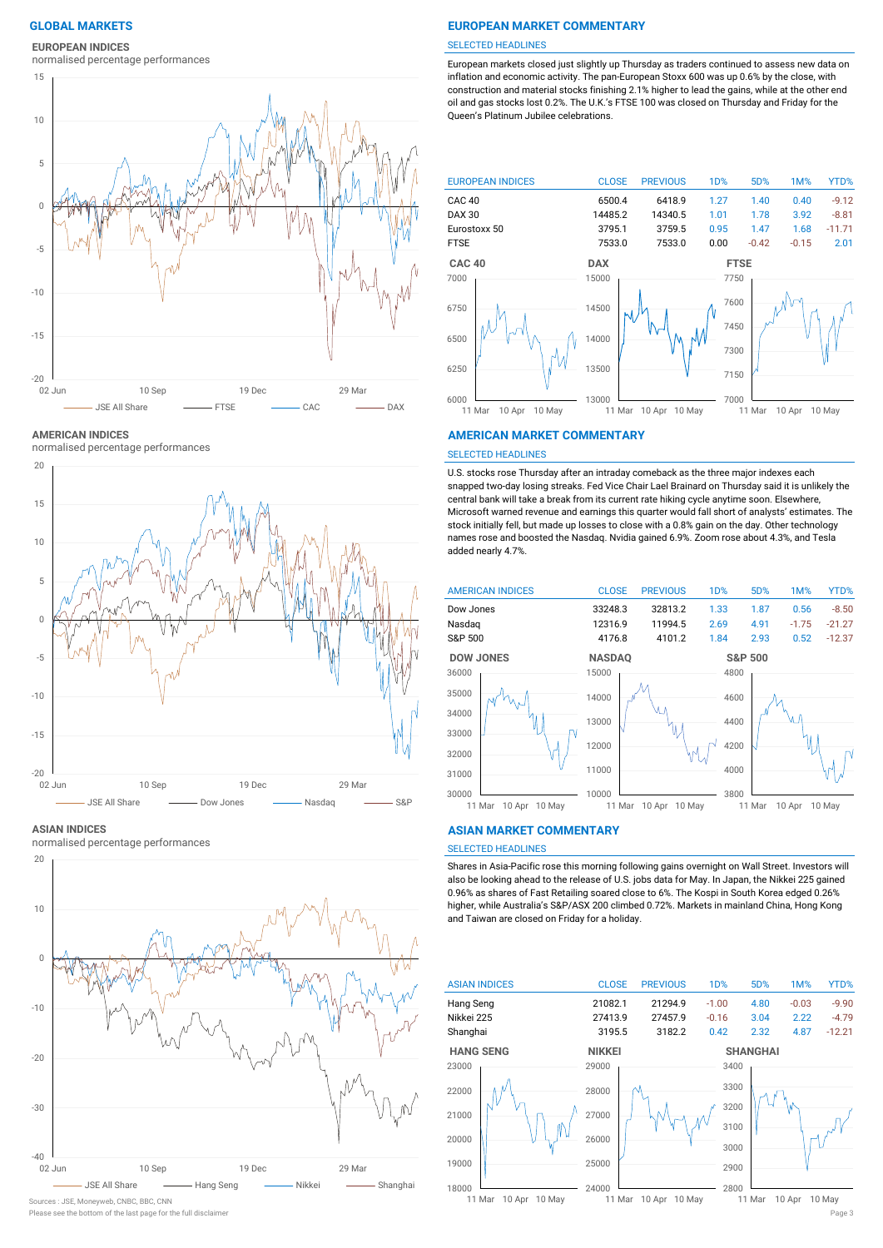# **EUROPEAN INDICES**

normalised percentage performances



**AMERICAN INDICES**

normalised percentage performances



#### **ASIAN INDICES**

normalised percentage performances



Please see the bottom of the last page for the full disclaimer Page 3

# **GLOBAL MARKETS EUROPEAN MARKET COMMENTARY**

#### SELECTED HEADLINES

European markets closed just slightly up Thursday as traders continued to assess new data on inflation and economic activity. The pan-European Stoxx 600 was up 0.6% by the close, with construction and material stocks finishing 2.1% higher to lead the gains, while at the other end oil and gas stocks lost 0.2%. The U.K.'s FTSE 100 was closed on Thursday and Friday for the Queen's Platinum Jubilee celebrations.



#### **AMERICAN MARKET COMMENTARY**

#### SELECTED HEADLINES

U.S. stocks rose Thursday after an intraday comeback as the three major indexes each snapped two-day losing streaks. Fed Vice Chair Lael Brainard on Thursday said it is unlikely the central bank will take a break from its current rate hiking cycle anytime soon. Elsewhere, Microsoft warned revenue and earnings this quarter would fall short of analysts' estimates. The stock initially fell, but made up losses to close with a 0.8% gain on the day. Other technology names rose and boosted the Nasdaq. Nvidia gained 6.9%. Zoom rose about 4.3%, and Tesla added nearly 4.7%.



#### **ASIAN MARKET COMMENTARY**

# SELECTED HEADLINES

Shares in Asia-Pacific rose this morning following gains overnight on Wall Street. Investors will also be looking ahead to the release of U.S. jobs data for May. In Japan, the Nikkei 225 gained 0.96% as shares of Fast Retailing soared close to 6%. The Kospi in South Korea edged 0.26% higher, while Australia's S&P/ASX 200 climbed 0.72%. Markets in mainland China, Hong Kong and Taiwan are closed on Friday for a holiday.